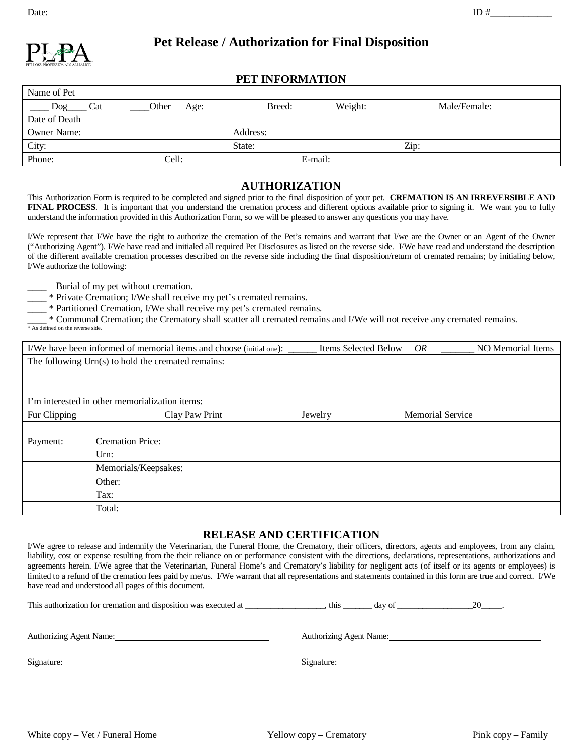

# **Pet Release / Authorization for Final Disposition**

# **PET INFORMATION**

| Name of Pet        |               |          |         |              |  |
|--------------------|---------------|----------|---------|--------------|--|
| $\log$<br>Cat      | Other<br>Age: | Breed:   | Weight: | Male/Female: |  |
| Date of Death      |               |          |         |              |  |
| <b>Owner Name:</b> |               | Address: |         |              |  |
| City:              |               | State:   |         | Zip:         |  |
| Phone:             | Cell:         |          | E-mail: |              |  |

## **AUTHORIZATION**

This Authorization Form is required to be completed and signed prior to the final disposition of your pet. **CREMATION IS AN IRREVERSIBLE AND**  FINAL PROCESS. It is important that you understand the cremation process and different options available prior to signing it. We want you to fully understand the information provided in this Authorization Form, so we will be pleased to answer any questions you may have.

I/We represent that I/We have the right to authorize the cremation of the Pet's remains and warrant that I/we are the Owner or an Agent of the Owner ("Authorizing Agent"). I/We have read and initialed all required Pet Disclosures as listed on the reverse side. I/We have read and understand the description of the different available cremation processes described on the reverse side including the final disposition/return of cremated remains; by initialing below, I/We authorize the following:

Burial of my pet without cremation.

\_\_\_\_ \* Private Cremation; I/We shall receive my pet's cremated remains.

\_\_\_\_ \* Partitioned Cremation, I/We shall receive my pet's cremated remains.

\_\_\_\_ \* Communal Cremation; the Crematory shall scatter all cremated remains and I/We will not receive any cremated remains. \* As defined on the reverse side.

|              | I/We have been informed of memorial items and choose (initial one): | <b>Items Selected Below</b> | OR                      | NO Memorial Items |
|--------------|---------------------------------------------------------------------|-----------------------------|-------------------------|-------------------|
|              | The following Urn(s) to hold the cremated remains:                  |                             |                         |                   |
|              |                                                                     |                             |                         |                   |
|              |                                                                     |                             |                         |                   |
|              | I'm interested in other memorialization items:                      |                             |                         |                   |
| Fur Clipping | Clay Paw Print                                                      | Jewelry                     | <b>Memorial Service</b> |                   |
|              |                                                                     |                             |                         |                   |
| Payment:     | <b>Cremation Price:</b>                                             |                             |                         |                   |
|              | Urn:                                                                |                             |                         |                   |
|              | Memorials/Keepsakes:                                                |                             |                         |                   |
|              | Other:                                                              |                             |                         |                   |
|              | Tax:                                                                |                             |                         |                   |
|              | Total:                                                              |                             |                         |                   |

## **RELEASE AND CERTIFICATION**

I/We agree to release and indemnify the Veterinarian, the Funeral Home, the Crematory, their officers, directors, agents and employees, from any claim, liability, cost or expense resulting from the their reliance on or performance consistent with the directions, declarations, representations, authorizations and agreements herein. I/We agree that the Veterinarian, Funeral Home's and Crematory's liability for negligent acts (of itself or its agents or employees) is limited to a refund of the cremation fees paid by me/us. I/We warrant that all representations and statements contained in this form are true and correct. I/We have read and understood all pages of this document.

| This authorization for cremation and disposition was executed at | this                           | day of | 20 |
|------------------------------------------------------------------|--------------------------------|--------|----|
|                                                                  |                                |        |    |
| Authorizing Agent Name:                                          | <b>Authorizing Agent Name:</b> |        |    |
| Signature:                                                       | Signature:                     |        |    |